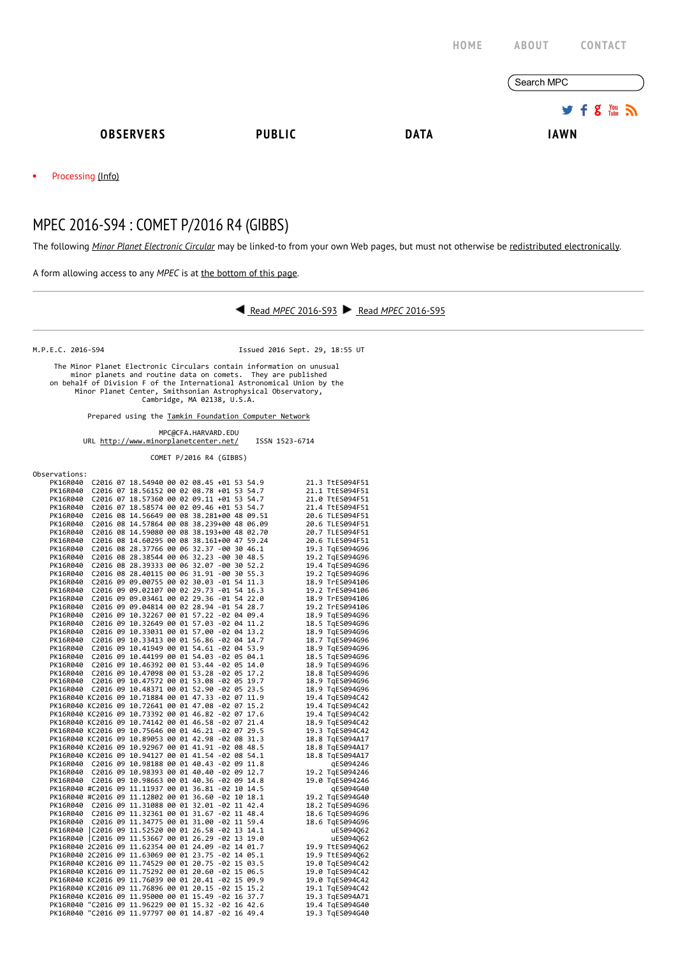|                                                                                                                                                  |                                                                                                                                                                                                                                                                                                              |                                       |             | HOME | ABOUT       | <b>CONTACT</b>          |
|--------------------------------------------------------------------------------------------------------------------------------------------------|--------------------------------------------------------------------------------------------------------------------------------------------------------------------------------------------------------------------------------------------------------------------------------------------------------------|---------------------------------------|-------------|------|-------------|-------------------------|
|                                                                                                                                                  |                                                                                                                                                                                                                                                                                                              |                                       |             |      | Search MPC  |                         |
|                                                                                                                                                  |                                                                                                                                                                                                                                                                                                              |                                       |             |      |             | $g_{\text{true}}$<br>÷. |
| <b>OBSERVERS</b>                                                                                                                                 | <b>PUBLIC</b>                                                                                                                                                                                                                                                                                                |                                       | <b>DATA</b> |      | <b>IAWN</b> |                         |
| Processing (Info)                                                                                                                                |                                                                                                                                                                                                                                                                                                              |                                       |             |      |             |                         |
| MPEC 2016-S94 : COMET P/2016 R4 (GIBBS)                                                                                                          |                                                                                                                                                                                                                                                                                                              |                                       |             |      |             |                         |
| The following Minor Planet Electronic Circular may be linked-to from your own Web pages, but must not otherwise be redistributed electronically. |                                                                                                                                                                                                                                                                                                              |                                       |             |      |             |                         |
| A form allowing access to any MPEC is at the bottom of this page.                                                                                |                                                                                                                                                                                                                                                                                                              |                                       |             |      |             |                         |
|                                                                                                                                                  |                                                                                                                                                                                                                                                                                                              | Read MPEC 2016-S93 Read MPEC 2016-S95 |             |      |             |                         |
| M.P.E.C. 2016-S94                                                                                                                                |                                                                                                                                                                                                                                                                                                              | Issued 2016 Sept. 29, 18:55 UT        |             |      |             |                         |
|                                                                                                                                                  | The Minor Planet Electronic Circulars contain information on unusual<br>minor planets and routine data on comets. They are published<br>on behalf of Division F of the International Astronomical Union by the<br>Minor Planet Center, Smithsonian Astrophysical Observatory,<br>Cambridge, MA 02138, U.S.A. |                                       |             |      |             |                         |
|                                                                                                                                                  | Prepared using the Tamkin Foundation Computer Network                                                                                                                                                                                                                                                        |                                       |             |      |             |                         |
|                                                                                                                                                  | MPC@CFA.HARVARD.EDU<br>URL http://www.minorplanetcenter.net/                                                                                                                                                                                                                                                 | ISSN 1523-6714                        |             |      |             |                         |
|                                                                                                                                                  | COMET P/2016 R4 (GIBBS)                                                                                                                                                                                                                                                                                      |                                       |             |      |             |                         |

| Observations: |  |                                                     |  |  |  |                 |
|---------------|--|-----------------------------------------------------|--|--|--|-----------------|
|               |  | PK16R040 C2016 07 18.54940 00 02 08.45 +01 53 54.9  |  |  |  | 21.3 TtES094F51 |
|               |  | PK16R040 C2016 07 18.56152 00 02 08.78 +01 53 54.7  |  |  |  | 21.1 TtES094F51 |
|               |  | PK16R040 C2016 07 18.57360 00 02 09.11 +01 53 54.7  |  |  |  | 21.0 TtES094F51 |
| PK16R040      |  | C2016 07 18.58574 00 02 09.46 +01 53 54.7           |  |  |  | 21.4 TtES094F51 |
|               |  | PK16R040 C2016 08 14.56649 00 08 38.281+00 48 09.51 |  |  |  | 20.6 TLES094F51 |
| PK16R040      |  | C2016 08 14.57864 00 08 38.239+00 48 06.09          |  |  |  | 20.6 TLES094F51 |
| PK16R040      |  | C2016 08 14.59080 00 08 38.193+00 48 02.70          |  |  |  | 20.7 TLES094F51 |
| PK16R040      |  | C2016 08 14.60295 00 08 38.161+00 47 59.24          |  |  |  | 20.6 TLES094F51 |
| PK16R040      |  | C2016 08 28.37766 00 06 32.37 -00 30 46.1           |  |  |  | 19.3 TgES094G96 |
|               |  | PK16R040 C2016 08 28.38544 00 06 32.23 -00 30 48.5  |  |  |  | 19.2 TqES094G96 |
| PK16R040      |  | C2016 08 28.39333 00 06 32.07 -00 30 52.2           |  |  |  | 19.4 TqES094G96 |
| PK16R040      |  | C2016 08 28.40115 00 06 31.91 -00 30 55.3           |  |  |  | 19.2 TgES094G96 |
|               |  | PK16R040 C2016 09 09.00755 00 02 30.03 -01 54 11.3  |  |  |  | 18.9 TrES094106 |
| PK16R040      |  | C2016 09 09.02107 00 02 29.73 -01 54 16.3           |  |  |  | 19.2 TrES094106 |
| PK16R040      |  | C2016 09 09.03461 00 02 29.36 -01 54 22.0           |  |  |  | 18.9 TrES094106 |
| PK16R040      |  | C2016 09 09.04814 00 02 28.94 -01 54 28.7           |  |  |  | 19.2 TrES094106 |
| PK16R040      |  | C2016 09 10.32267 00 01 57.22 -02 04 09.4           |  |  |  | 18.9 TgES094G96 |
|               |  | PK16R040 C2016 09 10.32649 00 01 57.03 -02 04 11.2  |  |  |  | 18.5 TgES094G96 |
|               |  | C2016 09 10.33031 00 01 57.00 -02 04 13.2           |  |  |  |                 |
| PK16R040      |  | PK16R040 C2016 09 10.33413 00 01 56.86 -02 04 14.7  |  |  |  | 18.9 TgES094G96 |
|               |  | PK16R040 C2016 09 10.41949 00 01 54.61 -02 04 53.9  |  |  |  | 18.7 TgES094G96 |
|               |  |                                                     |  |  |  | 18.9 TqES094G96 |
|               |  | PK16R040 C2016 09 10.44199 00 01 54.03 -02 05 04.1  |  |  |  | 18.5 TgES094G96 |
|               |  | PK16R040 C2016 09 10.46392 00 01 53.44 -02 05 14.0  |  |  |  | 18.9 TqES094G96 |
|               |  | PK16R040 C2016 09 10.47098 00 01 53.28 -02 05 17.2  |  |  |  | 18.8 TaES094G96 |
|               |  | PK16R040 C2016 09 10.47572 00 01 53.08 -02 05 19.7  |  |  |  | 18.9 TqES094G96 |
|               |  | PK16R040 C2016 09 10.48371 00 01 52.90 -02 05 23.5  |  |  |  | 18.9 TgES094G96 |
|               |  | PK16R040 KC2016 09 10.71884 00 01 47.33 -02 07 11.9 |  |  |  | 19.4 TgES094C42 |
|               |  | PK16R040 KC2016 09 10.72641 00 01 47.08 -02 07 15.2 |  |  |  | 19.4 TqES094C42 |
|               |  | PK16R040 KC2016 09 10.73392 00 01 46.82 -02 07 17.6 |  |  |  | 19.4 TgES094C42 |
|               |  | PK16R040 KC2016 09 10.74142 00 01 46.58 -02 07 21.4 |  |  |  | 18.9 TgES094C42 |
|               |  | PK16R040 KC2016 09 10.75646 00 01 46.21 -02 07 29.5 |  |  |  | 19.3 TgES094C42 |
|               |  | PK16R040 KC2016 09 10.89053 00 01 42.98 -02 08 31.3 |  |  |  | 18.8 TgES094A17 |
|               |  | PK16R040 KC2016 09 10.92967 00 01 41.91 -02 08 48.5 |  |  |  | 18.8 TgES094A17 |
|               |  | PK16R040 KC2016 09 10.94127 00 01 41.54 -02 08 54.1 |  |  |  | 18.8 TgES094A17 |
|               |  | PK16R040 C2016 09 10.98188 00 01 40.43 -02 09 11.8  |  |  |  | qES094246       |
|               |  | PK16R040 C2016 09 10.98393 00 01 40.40 -02 09 12.7  |  |  |  | 19.2 TgES094246 |
|               |  | PK16R040 C2016 09 10.98663 00 01 40.36 -02 09 14.8  |  |  |  | 19.0 TgES094246 |
|               |  | PK16R040 #C2016 09 11.11937 00 01 36.81 -02 10 14.5 |  |  |  | qES094G40       |
|               |  | PK16R040 #C2016 09 11.12802 00 01 36.60 -02 10 18.1 |  |  |  | 19.2 TgES094G40 |
|               |  | PK16R040 C2016 09 11.31088 00 01 32.01 -02 11 42.4  |  |  |  | 18.2 TqES094G96 |
|               |  | PK16R040 C2016 09 11.32361 00 01 31.67 -02 11 48.4  |  |  |  | 18.6 TqES094G96 |
|               |  | PK16R040 C2016 09 11.34775 00 01 31.00 -02 11 59.4  |  |  |  | 18.6 TqES094G96 |
|               |  | PK16R040  C2016 09 11.52520 00 01 26.58 -02 13 14.1 |  |  |  | uES094062       |
|               |  | PK16R040  C2016 09 11.53667 00 01 26.29 -02 13 19.0 |  |  |  | uES094062       |
|               |  | PK16R040 2C2016 09 11.62354 00 01 24.09 -02 14 01.7 |  |  |  | 19.9 TtES094062 |
|               |  | PK16R040 2C2016 09 11.63069 00 01 23.75 -02 14 05.1 |  |  |  | 19.9 TtES094Q62 |
|               |  | PK16R040 KC2016 09 11.74529 00 01 20.75 -02 15 03.5 |  |  |  | 19.0 TgES094C42 |
|               |  | PK16R040 KC2016 09 11.75292 00 01 20.60 -02 15 06.5 |  |  |  | 19.0 TgES094C42 |
|               |  | PK16R040 KC2016 09 11.76039 00 01 20.41 -02 15 09.9 |  |  |  | 19.0 TgES094C42 |
|               |  | PK16R040 KC2016 09 11.76896 00 01 20.15 -02 15 15.2 |  |  |  | 19.1 TgES094C42 |
|               |  | PK16R040 KC2016 09 11.95000 00 01 15.49 -02 16 37.7 |  |  |  | 19.3 TgES094A71 |
|               |  | PK16R040 "C2016 09 11.96229 00 01 15.32 -02 16 42.6 |  |  |  | 19.4 TqES094G40 |
|               |  | PK16R040 "C2016 09 11.97797 00 01 14.87 -02 16 49.4 |  |  |  | 19.3 TgES094G40 |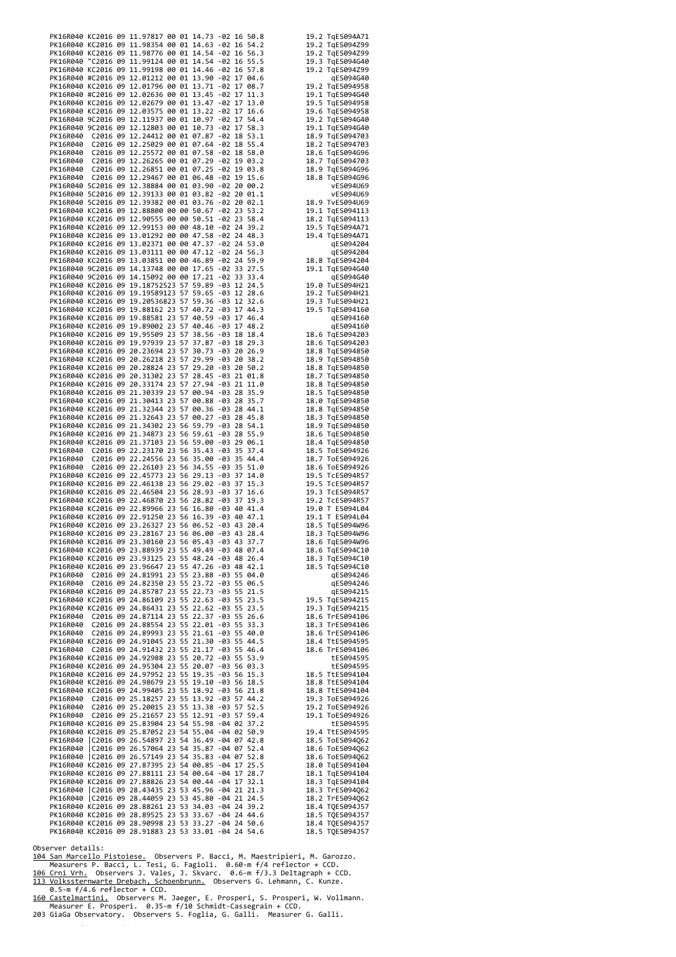|                                                                                                                                                                                                                                                                                                                                                        |  |  | PK16R040 KC2016 09 11.97817 00 01 14.73 -02 16 50.8 |  | 19.2 TqES094A71                    |
|--------------------------------------------------------------------------------------------------------------------------------------------------------------------------------------------------------------------------------------------------------------------------------------------------------------------------------------------------------|--|--|-----------------------------------------------------|--|------------------------------------|
|                                                                                                                                                                                                                                                                                                                                                        |  |  |                                                     |  |                                    |
|                                                                                                                                                                                                                                                                                                                                                        |  |  |                                                     |  |                                    |
|                                                                                                                                                                                                                                                                                                                                                        |  |  |                                                     |  |                                    |
|                                                                                                                                                                                                                                                                                                                                                        |  |  |                                                     |  |                                    |
|                                                                                                                                                                                                                                                                                                                                                        |  |  |                                                     |  |                                    |
|                                                                                                                                                                                                                                                                                                                                                        |  |  |                                                     |  |                                    |
|                                                                                                                                                                                                                                                                                                                                                        |  |  |                                                     |  |                                    |
|                                                                                                                                                                                                                                                                                                                                                        |  |  |                                                     |  |                                    |
|                                                                                                                                                                                                                                                                                                                                                        |  |  |                                                     |  |                                    |
|                                                                                                                                                                                                                                                                                                                                                        |  |  |                                                     |  |                                    |
|                                                                                                                                                                                                                                                                                                                                                        |  |  |                                                     |  |                                    |
|                                                                                                                                                                                                                                                                                                                                                        |  |  |                                                     |  |                                    |
|                                                                                                                                                                                                                                                                                                                                                        |  |  |                                                     |  |                                    |
|                                                                                                                                                                                                                                                                                                                                                        |  |  |                                                     |  |                                    |
|                                                                                                                                                                                                                                                                                                                                                        |  |  |                                                     |  |                                    |
|                                                                                                                                                                                                                                                                                                                                                        |  |  |                                                     |  |                                    |
|                                                                                                                                                                                                                                                                                                                                                        |  |  |                                                     |  |                                    |
|                                                                                                                                                                                                                                                                                                                                                        |  |  |                                                     |  |                                    |
|                                                                                                                                                                                                                                                                                                                                                        |  |  |                                                     |  |                                    |
|                                                                                                                                                                                                                                                                                                                                                        |  |  |                                                     |  |                                    |
|                                                                                                                                                                                                                                                                                                                                                        |  |  |                                                     |  |                                    |
|                                                                                                                                                                                                                                                                                                                                                        |  |  |                                                     |  |                                    |
|                                                                                                                                                                                                                                                                                                                                                        |  |  |                                                     |  |                                    |
|                                                                                                                                                                                                                                                                                                                                                        |  |  |                                                     |  |                                    |
|                                                                                                                                                                                                                                                                                                                                                        |  |  |                                                     |  |                                    |
|                                                                                                                                                                                                                                                                                                                                                        |  |  |                                                     |  |                                    |
|                                                                                                                                                                                                                                                                                                                                                        |  |  |                                                     |  |                                    |
|                                                                                                                                                                                                                                                                                                                                                        |  |  |                                                     |  |                                    |
|                                                                                                                                                                                                                                                                                                                                                        |  |  |                                                     |  |                                    |
|                                                                                                                                                                                                                                                                                                                                                        |  |  |                                                     |  |                                    |
|                                                                                                                                                                                                                                                                                                                                                        |  |  |                                                     |  |                                    |
|                                                                                                                                                                                                                                                                                                                                                        |  |  |                                                     |  |                                    |
|                                                                                                                                                                                                                                                                                                                                                        |  |  |                                                     |  |                                    |
|                                                                                                                                                                                                                                                                                                                                                        |  |  |                                                     |  |                                    |
|                                                                                                                                                                                                                                                                                                                                                        |  |  |                                                     |  |                                    |
|                                                                                                                                                                                                                                                                                                                                                        |  |  |                                                     |  |                                    |
|                                                                                                                                                                                                                                                                                                                                                        |  |  |                                                     |  |                                    |
|                                                                                                                                                                                                                                                                                                                                                        |  |  |                                                     |  |                                    |
|                                                                                                                                                                                                                                                                                                                                                        |  |  |                                                     |  |                                    |
|                                                                                                                                                                                                                                                                                                                                                        |  |  |                                                     |  |                                    |
|                                                                                                                                                                                                                                                                                                                                                        |  |  |                                                     |  |                                    |
|                                                                                                                                                                                                                                                                                                                                                        |  |  |                                                     |  |                                    |
|                                                                                                                                                                                                                                                                                                                                                        |  |  |                                                     |  |                                    |
|                                                                                                                                                                                                                                                                                                                                                        |  |  |                                                     |  |                                    |
|                                                                                                                                                                                                                                                                                                                                                        |  |  |                                                     |  |                                    |
|                                                                                                                                                                                                                                                                                                                                                        |  |  |                                                     |  |                                    |
|                                                                                                                                                                                                                                                                                                                                                        |  |  |                                                     |  |                                    |
|                                                                                                                                                                                                                                                                                                                                                        |  |  |                                                     |  |                                    |
|                                                                                                                                                                                                                                                                                                                                                        |  |  |                                                     |  |                                    |
|                                                                                                                                                                                                                                                                                                                                                        |  |  |                                                     |  |                                    |
|                                                                                                                                                                                                                                                                                                                                                        |  |  |                                                     |  |                                    |
|                                                                                                                                                                                                                                                                                                                                                        |  |  |                                                     |  |                                    |
|                                                                                                                                                                                                                                                                                                                                                        |  |  |                                                     |  |                                    |
|                                                                                                                                                                                                                                                                                                                                                        |  |  |                                                     |  |                                    |
|                                                                                                                                                                                                                                                                                                                                                        |  |  |                                                     |  |                                    |
|                                                                                                                                                                                                                                                                                                                                                        |  |  |                                                     |  |                                    |
|                                                                                                                                                                                                                                                                                                                                                        |  |  |                                                     |  |                                    |
|                                                                                                                                                                                                                                                                                                                                                        |  |  |                                                     |  |                                    |
|                                                                                                                                                                                                                                                                                                                                                        |  |  |                                                     |  |                                    |
|                                                                                                                                                                                                                                                                                                                                                        |  |  |                                                     |  |                                    |
|                                                                                                                                                                                                                                                                                                                                                        |  |  |                                                     |  |                                    |
|                                                                                                                                                                                                                                                                                                                                                        |  |  |                                                     |  |                                    |
|                                                                                                                                                                                                                                                                                                                                                        |  |  |                                                     |  |                                    |
|                                                                                                                                                                                                                                                                                                                                                        |  |  |                                                     |  |                                    |
|                                                                                                                                                                                                                                                                                                                                                        |  |  |                                                     |  |                                    |
|                                                                                                                                                                                                                                                                                                                                                        |  |  |                                                     |  |                                    |
|                                                                                                                                                                                                                                                                                                                                                        |  |  |                                                     |  |                                    |
| PK16R040 KC2016 09 23.30160 23 56 05.43 -03 43 37.7                                                                                                                                                                                                                                                                                                    |  |  |                                                     |  | 18.6 TqES094W96                    |
| PK16R040 KC2016 09 23.88939 23 55 49.49 -03 48 07.4                                                                                                                                                                                                                                                                                                    |  |  |                                                     |  | 18.6 TgES094C10                    |
|                                                                                                                                                                                                                                                                                                                                                        |  |  |                                                     |  | 18.3 TgES094C10                    |
|                                                                                                                                                                                                                                                                                                                                                        |  |  |                                                     |  |                                    |
| PLIGRAGe KC2016 09 11.97317 e0 01 11.73 - 22 15 58.8<br>PLIGRAGe KC2016 09 11.97317 e0 01 14.45 - 22 15 58.8<br>PLIGRAGe KC2016 09 11.97317 e0 01 14.45 - 22 15 58.5<br>PLIGRAGe KC2016 09 11.97317 e0 01 14.46 - 22 15 57.5<br>PLIGRAGe<br>PK16R040 KC2016 09 23.93125 23 55 48.24 -03 48 26.4<br>PK16R040 KC2016 09 23.93125 23 55 48.24 -03 48 26.4 |  |  |                                                     |  | 18.5 TqES094C10                    |
| PK16R040 C2016 09 24.81991 23 55 23.88 -03 55 04.0                                                                                                                                                                                                                                                                                                     |  |  |                                                     |  | qES094246                          |
| PK16R040 C2016 09 24.82350 23 55 23.72 -03 55 06.5                                                                                                                                                                                                                                                                                                     |  |  |                                                     |  | qES094246                          |
| PK16R040 KC2016 09 24.85787 23 55 22.73 -03 55 21.5                                                                                                                                                                                                                                                                                                    |  |  |                                                     |  | qES094215                          |
| PK16R040 KC2016 09 24.86109 23 55 22.63 -03 55 23.5                                                                                                                                                                                                                                                                                                    |  |  |                                                     |  | 19.5 TqES094215                    |
| PK16R040 KC2016 09 24.86431 23 55 22.62 -03 55 23.5                                                                                                                                                                                                                                                                                                    |  |  |                                                     |  | 19.3 TgES094215                    |
|                                                                                                                                                                                                                                                                                                                                                        |  |  |                                                     |  | 18.6 TrES094106                    |
| PK16R040 C2016 09 24.87114 23 55 22.37 -03 55 26.6<br>PK16R040 C2016 09 24.88554 23 55 22.01 -03 55 33.3                                                                                                                                                                                                                                               |  |  |                                                     |  | 18.3 TrES094106                    |
|                                                                                                                                                                                                                                                                                                                                                        |  |  |                                                     |  | 18.6 TrES094106                    |
| - 1.1200<br>PK16R040 C2016 09 24.89993 23 55 21.61 -03 55 40.0<br>PK16R040 KC2016 09 24.91045 23 55 21.30 -03 55 44.5                                                                                                                                                                                                                                  |  |  |                                                     |  |                                    |
| PK16R040 C2016 09 24.91432 23 55 21.17 -03 55 46.4                                                                                                                                                                                                                                                                                                     |  |  |                                                     |  | 18.4 TtES094595<br>18.6 TrES094106 |
| PK16R040 KC2016 09 24.92988 23 55 20.72 -03 55 53.9                                                                                                                                                                                                                                                                                                    |  |  |                                                     |  | tES094595                          |
| PK16R040 KC2016 09 24.95304 23 55 20.07 -03 56 03.3                                                                                                                                                                                                                                                                                                    |  |  |                                                     |  | tES094595                          |
|                                                                                                                                                                                                                                                                                                                                                        |  |  |                                                     |  |                                    |
|                                                                                                                                                                                                                                                                                                                                                        |  |  |                                                     |  | 18.5 TtES094104<br>18.8 TtES094104 |
| PK16R040 KC2016 09 24.97952 23 55 19.35 -03 56 15.3<br>PK16R040 KC2016 09 24.98679 23 55 19.10 -03 56 18.5                                                                                                                                                                                                                                             |  |  |                                                     |  |                                    |
|                                                                                                                                                                                                                                                                                                                                                        |  |  |                                                     |  |                                    |
|                                                                                                                                                                                                                                                                                                                                                        |  |  |                                                     |  |                                    |
|                                                                                                                                                                                                                                                                                                                                                        |  |  |                                                     |  |                                    |
| PK16R040 KC2016 09 24.99405 23 55 18.92 -03 56 21.8<br>PK16R040 C2016 09 25.18257 23 55 13.92 -03 57 44.2<br>PK16R040 C2016 09 25.20015 23 55 13.38 -03 57 52.5<br>PK16R040 C2016 09 25.21657 23 55 12.91 -03 57 59.4<br>PK16R040 C201                                                                                                                 |  |  |                                                     |  |                                    |
| PK16R040 KC2016 09 25.83904 23 54 55.98 -04 02 37.2                                                                                                                                                                                                                                                                                                    |  |  |                                                     |  | tES094595                          |
|                                                                                                                                                                                                                                                                                                                                                        |  |  |                                                     |  |                                    |
|                                                                                                                                                                                                                                                                                                                                                        |  |  |                                                     |  |                                    |
|                                                                                                                                                                                                                                                                                                                                                        |  |  |                                                     |  |                                    |
|                                                                                                                                                                                                                                                                                                                                                        |  |  |                                                     |  |                                    |
| 11.120949999<br>PK16R040 (C2016 09 26.57052 23 54 35.87 -04 02 50.9<br>PK16R040 (C2016 09 26.57064 23 54 35.87 -04 07 52.4<br>PK16R040 (C2016 09 26.57064 23 54 35.87 -04 07 52.4<br>PK16R040 (C2016 09 26.57149 23 54 35.87 -04 07 52                                                                                                                 |  |  |                                                     |  | 18.6 ToES094Q62<br>18.0 TqES094104 |
|                                                                                                                                                                                                                                                                                                                                                        |  |  |                                                     |  |                                    |
|                                                                                                                                                                                                                                                                                                                                                        |  |  |                                                     |  | 18.1 TqES094104<br>18.3 TqES094104 |
|                                                                                                                                                                                                                                                                                                                                                        |  |  |                                                     |  | 18.3 TrES094Q62                    |
|                                                                                                                                                                                                                                                                                                                                                        |  |  |                                                     |  |                                    |
| PK16R040 KC2016 09 27.88111 23 54 00.64 -04 17 28.7<br>PK16R040 KC2016 09 27.88111 23 54 00.64 -04 17 32.1<br>PK16R040 (C2016 09 28.43435 23 53 45.96 -04 21 21.3<br>PK16R040 (C2016 09 28.44059 23 53 45.80 -04 21 24.5                                                                                                                               |  |  |                                                     |  | 18.2 TrES094Q62                    |
|                                                                                                                                                                                                                                                                                                                                                        |  |  |                                                     |  |                                    |
| PK16R040 KC2016 09 28.88261 23 53 34.03 -04 24 39.2 18.4 TQES094J57<br>PK16R040 KC2016 09 28.89525 23 53 33.67 -04 24 44.6 18.5 TQES094J57<br>PK16R040 KC2016 09 28.90998 23 53 33.27 -04 24 50.6 18.4 TQES094J57                                                                                                                                      |  |  |                                                     |  |                                    |

Observer details:<br><u>104 San Marcello Pistoiese.</u> Observers P. Bacci, M. Maestripieri, M. Garozzo.<br><u>Measurers P. Bacci, L. Tesi, G</u>. Fagioli. 0.60-m f/4 reflector + CCD.<br><u>[106 Crni Vrh.](http://www.observatorij.org/)</u> Observers J. Vales, J. Skvarc. 0.6-m f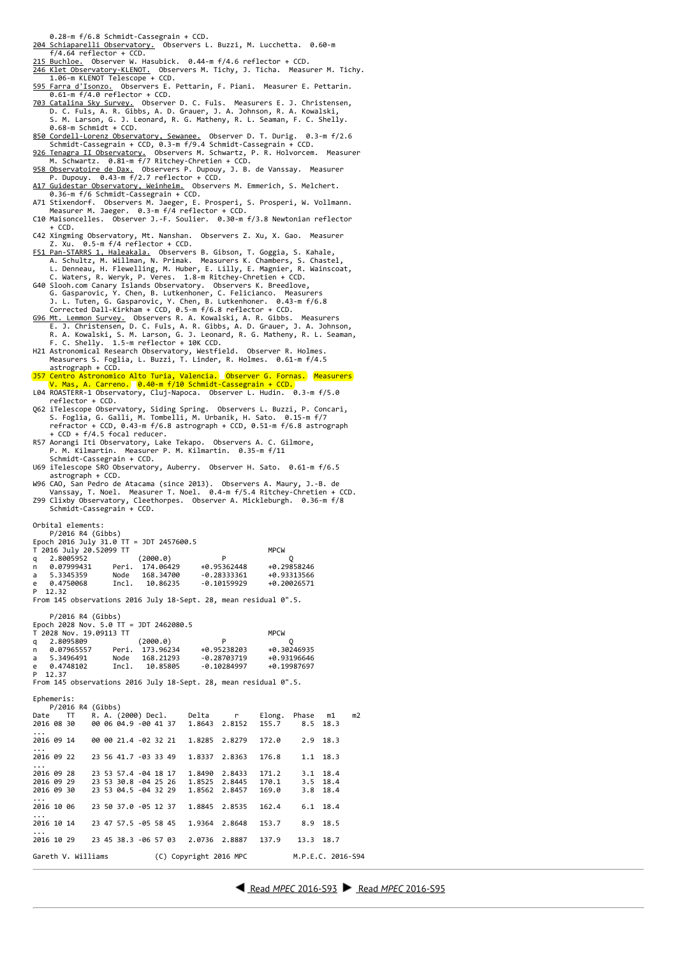0.28‐m f/6.8 Schmidt‐Cassegrain + CCD.

- [204 Schiaparelli Observatory.](http://www.astrogeo.va.it/) Observers L. Buzzi, M. Lucchetta. 0.60‐m
- f/4.64 reflector + CCD. [215 Buchloe.](http://www.astronomie-buchloe.de/) Observer W. Hasubick. 0.44‐m f/4.6 reflector + CCD.
- [246 Klet Observatory‐KLENOT.](http://www.klet.org/)  Observers M. Tichy, J. Ticha. Measurer M. Tichy. 1.06‐m KLENOT Telescope + CCD. [595 Farra d'Isonzo.](http://www.ccaf.it/Pages/indexen.html) Observers E. Pettarin, F. Piani. Measurer E. Pettarin.
- 0.61‐m f/4.0 reflector + CCD.
- <u>703 Catalina Sky Survey.</u> Observer D. C. Fuls. Measurers E. J. Christensen,<br>D. C. Fuls, A. R. Gibbs, A. D. Grauer, J. A. Johnson, R. A. Kowalski,<br>S. M. Larson, G. J. Leonard, R. G. Matheny, R. L. Seaman, F. C. Shelly.
- 0.68-m Schmidt + CCD.<br>
<u>850 Cordell-Lorenz Observatory, Sewanee.</u> Observer D. T. Durig. 0.3-m f/2.6<br>
Schmidt-Cassegrain + CCD, 0.3-m f/9.4 Schmidt-Cassegrain + CCD.<br> [926 Tenagra II Observatory.](http://www.tenagraobservatories.com/) Observers M. Schwartz, P. R.
- 
- 
- 
- 
- C10 Maisoncelles. Observer J.‐F. Soulier. 0.30‐m f/3.8 Newtonian reflector + CCD.
- C42 Xingming Observatory, Mt. Nanshan. Observers Z. Xu, X. Gao. Measurer Z. Xu. 0.5‐m f/4 reflector + CCD.
- 
- F51 Pan-STARRS 1, Haleakala. Observers B. Gibson, T. Goggia, S. Kahale,<br>A. Schultz, M. Willman, N. Primak. Measurers K. Chambers, S. Chastel,<br>L. Denneau, H. Flewelling, M. Huber, E. Lilly, E. Magnier, R. Wainscoat,<br>C. Wate
- 
- F. C. Shelly. 1.5‐m reflector + 10K CCD. H21 Astronomical Research Observatory, Westfield. Observer R. Holmes. Measurers S. Foglia, L. Buzzi, T. Linder, R. Holmes. 0.61‐m f/4.5
- astrograph + CCD.
- J57 Centro Astronomico Alto Turia, Valencia. Observer G. Fornas. Measurers V. Mas, A. Carreno. 0.40‐m f/10 Schmidt‐Cassegrain + CCD. L04 ROASTERR‐1 Observatory, Cluj‐Napoca. Observer L. Hudin. 0.3‐m f/5.0
- reflector + CCD. Q62 iTelescope Observatory, Siding Spring. Observers L. Buzzi, P. Concari, S. Foglia, G. Galli, M. Tombelli, M. Urbanik, H. Sato. 0.15‐m f/7
- refractor + CCD, 0.43‐m f/6.8 astrograph + CCD, 0.51‐m f/6.8 astrograph + CCD + f/4.5 focal reducer. R57 Aorangi Iti Observatory, Lake Tekapo. Observers A. C. Gilmore,
- P. M. Kilmartin. Measurer P. M. Kilmartin. 0.35‐m f/11 chmidt‐Cassegrain + CCD.
- U69 iTelescope SRO Observatory, Auberry. Observer H. Sato. 0.61‐m f/6.5 astrograph + CCD.
- W96 CAO, San Pedro de Atacama (since 2013). Observers A. Maury, J.‐B. de Vanssay, T. Noel. Measurer T. Noel. 0.4-m f/5.4 Ritchey-Chretien + CCD.<br>Z99 Clixby Observatory, Cleethorpes. Observer A. Mickleburgh. 0.36-m f/8<br>Schmidt-Cassegrain + CCD.
- 

Orbital elements: edi elements.<br>P/2016 R4 (Gibbs)

| Epoch 2016 July 31.0 TT = JDT 2457600.5 |             |
|-----------------------------------------|-------------|
| T 2016 July 20.52099 TT                 | <b>MPCW</b> |

|   | a 2.8005952 |       | (2000.0)        | P             | 0           |
|---|-------------|-------|-----------------|---------------|-------------|
| n | 0.07999431  |       | Peri. 174.06429 | +0.95362448   | +0.29858246 |
|   | a 5.3345359 | Node  | 168, 34700      | $-0.28333361$ | +0.93313566 |
|   | e 0.4750068 | Incl. | 10.86235        | $-0.10159929$ | +0.20026571 |
|   | P 12 32     |       |                 |               |             |

From 145 observations 2016 July 18-Sept. 28, mean residual 0".5.

 P/2016 R4 (Gibbs) Epoch 2028 Nov. 5.0 TT = JDT 2462080.5

|            | T 2028 Nov. 19.09113 TT |       |                 |               | <b>MPCW</b> |
|------------|-------------------------|-------|-----------------|---------------|-------------|
| a          | 2.8095809               |       | (2000.0)        | P             |             |
| n          | 0.07965557              |       | Peri. 173.96234 | +0.95238203   | +0.30246935 |
| a          | 5.3496491               | Node  | 168, 21293      | $-0.28703719$ | +0.93196646 |
| $\epsilon$ | 0.4748102               | Incl. | 10.85805        | $-0.10284997$ | +0.19987697 |
|            | P 12.37                 |       |                 |               |             |

From 145 observations 2016 July 18-Sept. 28, mean residual 0".5.

| Ephemeris:             |                                        |  |                        |        |           |                   |    |
|------------------------|----------------------------------------|--|------------------------|--------|-----------|-------------------|----|
| P/2016 R4 (Gibbs)      |                                        |  |                        |        |           |                   |    |
| Date<br>TT.            | R. A. (2000) Decl. Delta r             |  |                        | Elong. | Phase m1  |                   | m2 |
| 2016 08 30             | 00 06 04.9 -00 41 37 1.8643            |  | 2.8152                 | 155.7  | 8.5       | 18.3              |    |
| $\cdots$<br>2016 09 14 | 00 00 21.4 -02 32 21 1.8285            |  | 2.8279                 | 172.0  |           | $2.9$ 18.3        |    |
| $\cdots$               |                                        |  |                        |        |           |                   |    |
| 2016 09 22             | 23 56 41.7 -03 33 49 1.8337            |  | 2.8363                 | 176.8  |           | 1.1 18.3          |    |
| .                      |                                        |  |                        |        |           |                   |    |
| 2016 09 28             | 23 53 57.4 -04 18 17 1.8490            |  | 2.8433                 | 171.2  | 3.1       | 18.4              |    |
| 2016 09 29             | 23 53 30.8 -04 25 26 1.8525            |  | 2.8445                 | 170.1  | 3.5       | 18.4              |    |
| 2016 09 30             | 23 53 04.5 -04 32 29 1.8562            |  | 2.8457                 | 169.0  | 3.8       | 18.4              |    |
| $\cdots$               |                                        |  |                        |        |           |                   |    |
| 2016 10 06             | 23 50 37.0 -05 12 37 1.8845            |  | 2.8535                 | 162.4  |           | $6.1$ 18.4        |    |
| $\cdots$               |                                        |  |                        |        |           |                   |    |
|                        | 2016 10 14 23 47 57.5 -05 58 45 1.9364 |  | 2.8648                 | 153.7  |           | 8.9 18.5          |    |
| $\cdots$<br>2016 10 29 | 23 45 38.3 - 06 57 03 2.0736           |  | 2.8887                 | 137.9  | 13.3 18.7 |                   |    |
|                        |                                        |  |                        |        |           |                   |    |
| Gareth V. Williams     |                                        |  | (C) Copyright 2016 MPC |        |           | M.P.E.C. 2016-S94 |    |
|                        |                                        |  |                        |        |           |                   |    |